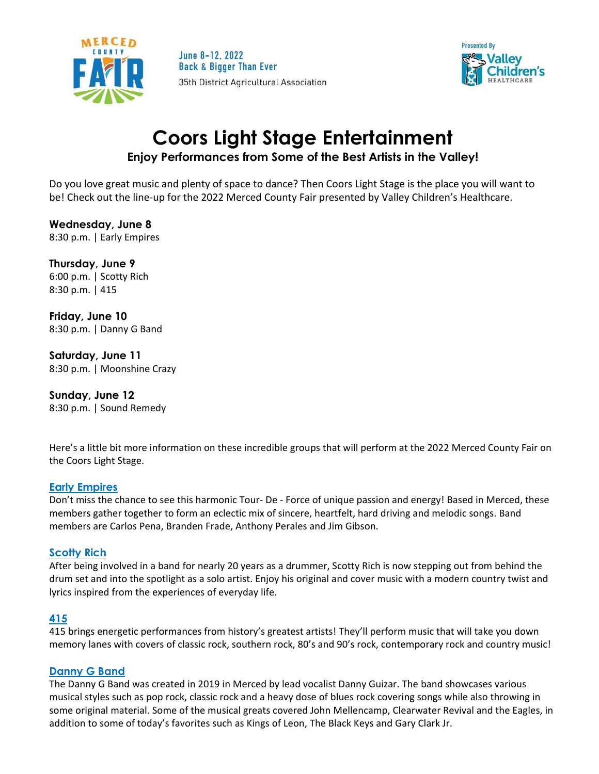

June 8-12, 2022 **Back & Bigger Than Ever** 35th District Agricultural Association



# **Coors Light Stage Entertainment Enjoy Performances from Some of the Best Artists in the Valley!**

Do you love great music and plenty of space to dance? Then Coors Light Stage is the place you will want to be! Check out the line-up for the 2022 Merced County Fair presented by Valley Children's Healthcare.

**Wednesday, June 8** 8:30 p.m. | Early Empires

**Thursday, June 9** 6:00 p.m. | Scotty Rich 8:30 p.m. | 415

**Friday, June 10** 8:30 p.m. | Danny G Band

**Saturday, June 11** 8:30 p.m. | Moonshine Crazy

**Sunday, June 12** 8:30 p.m. | Sound Remedy

Here's a little bit more information on these incredible groups that will perform at the 2022 Merced County Fair on the Coors Light Stage.

### **[Early Empires](https://www.earlyempires.com/)**

Don't miss the chance to see this harmonic Tour- De - Force of unique passion and energy! Based in Merced, these members gather together to form an eclectic mix of sincere, heartfelt, hard driving and melodic songs. Band members are Carlos Pena, Branden Frade, Anthony Perales and Jim Gibson.

### **[Scotty Rich](https://www.facebook.com/musicbyscottsiemiller/)**

After being involved in a band for nearly 20 years as a drummer, Scotty Rich is now stepping out from behind the drum set and into the spotlight as a solo artist. Enjoy his original and cover music with a modern country twist and lyrics inspired from the experiences of everyday life.

### **[415](https://www.facebook.com/415rockband/)**

415 brings energetic performances from history's greatest artists! They'll perform music that will take you down memory lanes with covers of classic rock, southern rock, 80's and 90's rock, contemporary rock and country music!

### **[Danny G Band](https://www.facebook.com/dgband209)**

The Danny G Band was created in 2019 in Merced by lead vocalist Danny Guizar. The band showcases various musical styles such as pop rock, classic rock and a heavy dose of blues rock covering songs while also throwing in some original material. Some of the musical greats covered John Mellencamp, Clearwater Revival and the Eagles, in addition to some of today's favorites such as Kings of Leon, The Black Keys and Gary Clark Jr.